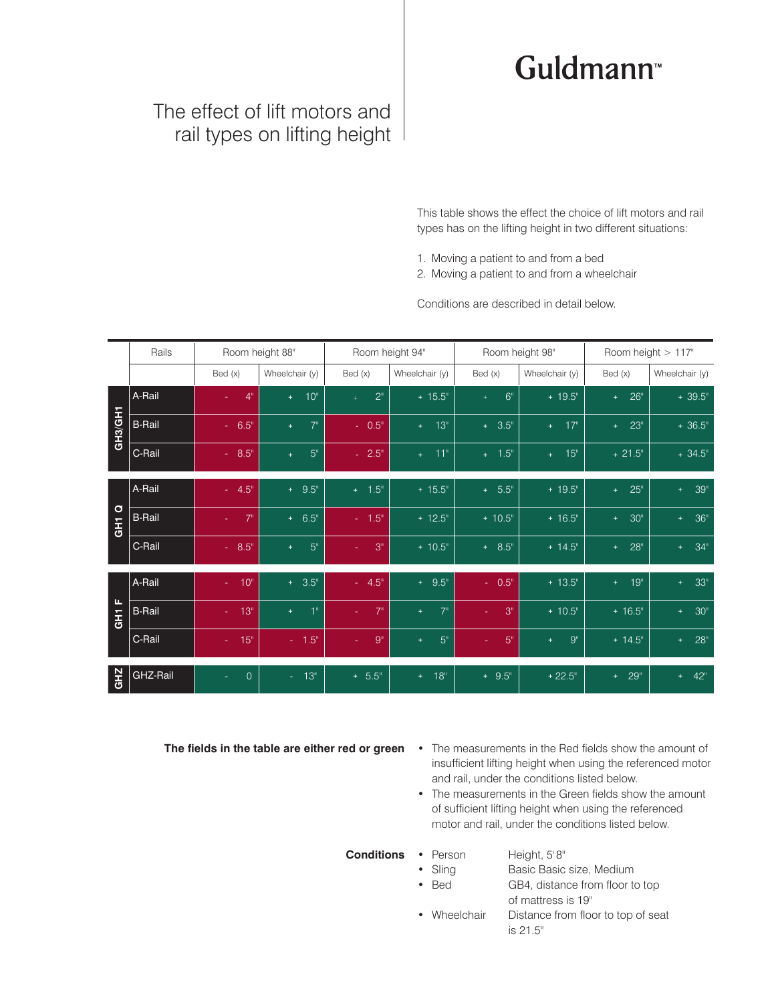## Guldmann<sup>™</sup>

## The effect of lift motors and rail types on lifting height

This table shows the effect the choice of lift motors and rail types has on the lifting height in two different situations:

- 1. Moving a patient to and from a bed
- 2. Moving a patient to and from a wheelchair

Conditions are described in detail below.

|                               | Rails         | Room height 88"         |                         | Room height 94"       |                              | Room height 98"        |                        | Room height > 117"      |                         |
|-------------------------------|---------------|-------------------------|-------------------------|-----------------------|------------------------------|------------------------|------------------------|-------------------------|-------------------------|
|                               |               | Bed (x)                 | Wheelchair (y)          | Bed(x)                | Wheelchair (y)               | Bed(x)                 | Wheelchair (y)         | Bed(x)                  | Wheelchair (y)          |
| GH3/GH1                       | A-Rail        | 4 <sup>0</sup>          | 10 <sup>th</sup><br>$+$ | 2 <sup>n</sup><br>$+$ | $+ 15.5$ "                   | 6 <sup>th</sup><br>$+$ | $+19.5$ "              | 26 <sup>°</sup><br>$+$  | $+39.5$ "               |
|                               | <b>B-Rail</b> | $-6.5$ "                | 7 <sup>11</sup><br>$+$  | $-0.5$ "              | 13 <sup>°</sup><br>$+$       | $+ 3.5$ "              | 17"<br>$+$             | 23"<br>$+$              | $+36.5$ "               |
|                               | C-Rail        | $-8.5$ "                | 5 <sup>°</sup><br>÷     | $-2.5$ "              | 11"<br>$+$                   | $+ 1.5$ "              | 15"<br>$+$             | $+21.5$ "               | $+34.5$ "               |
| $\mathbf{\sigma}$<br>E<br>GHT | A-Rail        | $-4.5$ "                | $+ 9.5$ "               | $+ 1.5$ "             | $+ 15.5$ "                   | $+ 5.5$ "              | $+ 19.5$ "             | $25^{\circ}$<br>◆       | $39"$<br>$+$            |
|                               | <b>B-Rail</b> | 7 <sup>0</sup>          | $+ 6.5$ "               | $-1.5$ "              | $+ 12.5$ "                   | $+ 10.5$ "             | $+ 16.5$ "             | 30 <sup>°</sup><br>$+$  | 36"<br>$+$              |
|                               | C-Rail        | $-8.5$ "                | 5 <sup>0</sup><br>$+$   | 3 <sup>n</sup>        | $+ 10.5$ "                   | $+ 8.5$ "              | $+ 14.5$ "             | 28 <sup>''</sup><br>$+$ | 34 <sup>°</sup><br>$+$  |
| L.<br>$\overline{5}$          | A-Rail        | 10 <sup>°</sup><br>A.   | $+ 3.5$ "               | $-4.5$ "              | $+ 9.5$ "                    | $-0.5$ "               | $+ 13.5$ "             | 19 <sup>°</sup><br>$+$  | 33 <sup>''</sup><br>$+$ |
|                               | <b>B-Rail</b> | 13"<br>a.               | 1"<br>$+$               | 7"                    | 7 <sup>11</sup><br>$+$       | 3 <sup>n</sup>         | $+ 10.5$ "             | $+ 16.5$ "              | 30 <sup>°</sup><br>$+$  |
|                               | C-Rail        | 15"<br>$\Delta \sim 10$ | $-1.5$ "                | 9 <sup>n</sup>        | 5 <sup>''</sup><br>$\ddot{}$ | 5 <sup>n</sup>         | 9 <sup>11</sup><br>$+$ | $+14.5$ "               | $28^{\circ}$<br>$+$     |
| <b>GHZ</b>                    | GHZ-Rail      | $\overline{0}$          | $-13n$                  | $+ 5.5$ "             | 18 <sup>°</sup><br>$+$       | $+ 9.5$ "              | $+22.5$ "              | 29 <sup>°</sup><br>$+$  | $42^{\circ}$<br>$+$     |

**The fields in the table are either red or green**

- The measurements in the Red fields show the amount of insufficient lifting height when using the referenced motor and rail, under the conditions listed below.
- The measurements in the Green fields show the amount of sufficient lifting height when using the referenced motor and rail, under the conditions listed below.

**Conditions** • Person

- Height, 5' 8"
- Sling Basic Basic size, Medium
- Bed **GB4**, distance from floor to top of mattress is 19"
- Wheelchair Distance from floor to top of seat is 21.5"